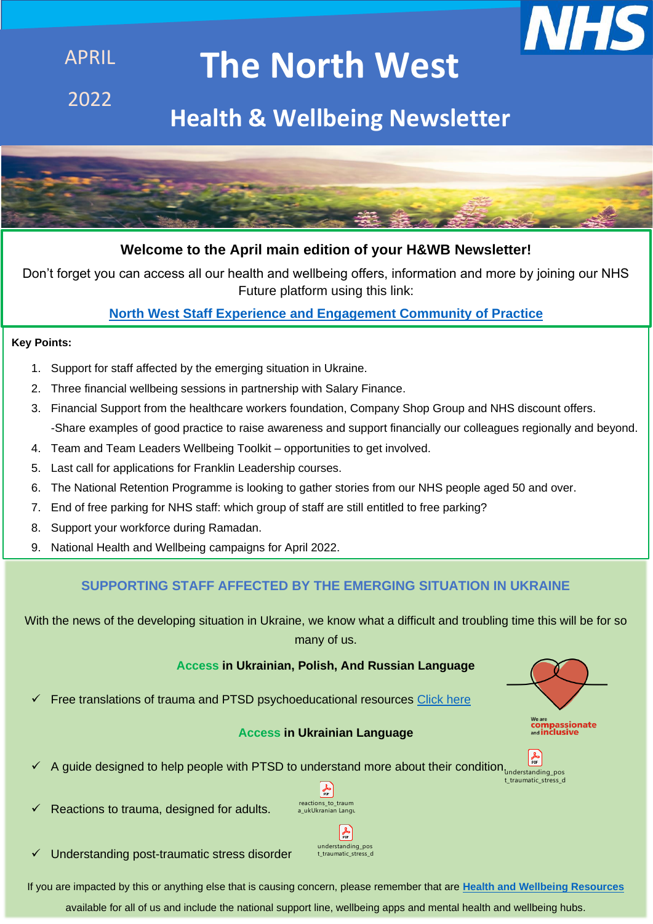

# **The North West**

2022

APRIL

# **Health & Wellbeing Newsletter**



# **Welcome to the April main edition of your H&WB Newsletter!**

Don't forget you can access all our health and wellbeing offers, information and more by joining our NHS Future platform using this link:

# **[North West Staff Experience and Engagement Community of Practice](https://future.nhs.uk/NorthWestStaffExperience/grouphome)**

#### **Key Points:**

- 1. Support for staff affected by the emerging situation in Ukraine.
- 2. Three financial wellbeing sessions in partnership with Salary Finance.
- 3. Financial Support from the healthcare workers foundation, Company Shop Group and NHS discount offers. -Share examples of good practice to raise awareness and support financially our colleagues regionally and beyond.
- 4. Team and Team Leaders Wellbeing Toolkit opportunities to get involved.
- 5. Last call for applications for Franklin Leadership courses.
- 6. The National Retention Programme is looking to gather stories from our NHS people aged 50 and over.
- 7. End of free parking for NHS staff: which group of staff are still entitled to free parking?
- 8. Support your workforce during Ramadan.
- 9. National Health and Wellbeing campaigns for April 2022.

# **SUPPORTING STAFF AFFECTED BY THE EMERGING SITUATION IN UKRAINE**

With the news of the developing situation in Ukraine, we know what a difficult and troubling time this will be for so many of us.

#### **Access in Ukrainian, Polish, And Russian Language**

Free translations of trauma and PTSD psychoeducational resources [Click here](https://www.psychologytools.com/articles/free-ukrainian-translations-of-trauma-and-ptsd-psychoeducational-resources/)

#### **Access in Ukrainian Language**





Reactions to trauma, designed for adults.



understanding\_pos t\_traumatic\_stress\_d

 $\frac{1}{p}$ 

✓ Understanding post-traumatic stress disorder

If you are impacted by this or anything else that is causing concern, please remember that are **[Health and Wellbeing Resources](https://www.england.nhs.uk/nhsbirthday/work-well/supporting-staff-health-and-wellbeing/)**

available for all of us and include the national support line, wellbeing apps and mental health and wellbeing hubs.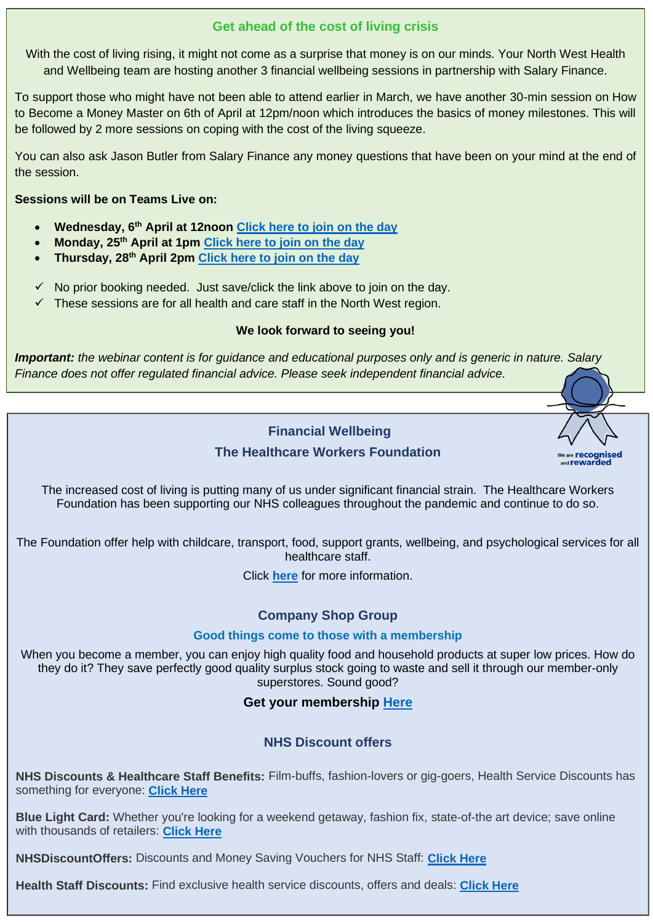#### **Get ahead of the cost of living crisis**

With the cost of living rising, it might not come as a surprise that money is on our minds. Your North West Health and Wellbeing team are hosting another 3 financial wellbeing sessions in partnership with Salary Finance.

To support those who might have not been able to attend earlier in March, we have another 30-min session on How to Become a Money Master on 6th of April at 12pm/noon which introduces the basics of money milestones. This will be followed by 2 more sessions on coping with the cost of the living squeeze.

You can also ask Jason Butler from Salary Finance any money questions that have been on your mind at the end of the session.

#### **Sessions will be on Teams Live on:**

- **Wednesday, 6th April at 12noon [Click here to join on the day](https://teams.microsoft.com/l/meetup-join/19%3ameeting_Yjg5NzRhM2YtZDJkNC00MTYwLWJlNDEtMjNiOWE0ZTRmMWFm%40thread.v2/0?context=%7b%22Tid%22%3a%2203159e92-72c6-4b23-a64a-af50e790adbf%22%2c%22Oid%22%3a%224e82da70-5dd3-4fde-82d2-6f7104f200fe%22%2c%22IsBroadcastMeeting%22%3atrue%7d&btype=a&role=a)**
- **Monday, 25th April at 1pm [Click here to join on the day](https://teams.microsoft.com/l/meetup-join/19%3ameeting_ZmQyNzg3NWYtOWMzNC00ZTZkLTlhZDEtODRjNWQwM2ZjN2Jk%40thread.v2/0?context=%7b%22Tid%22%3a%2203159e92-72c6-4b23-a64a-af50e790adbf%22%2c%22Oid%22%3a%224e82da70-5dd3-4fde-82d2-6f7104f200fe%22%2c%22IsBroadcastMeeting%22%3atrue%7d&btype=a&role=a)**
- **Thursday, 28th April 2pm [Click here to join on the day](https://teams.microsoft.com/l/meetup-join/19%3ameeting_Yjc2NzIxNTAtMTE3YS00NjFmLTkxOWItOGM5N2M5MDE0NmI4%40thread.v2/0?context=%7b%22Tid%22%3a%2203159e92-72c6-4b23-a64a-af50e790adbf%22%2c%22Oid%22%3a%224e82da70-5dd3-4fde-82d2-6f7104f200fe%22%2c%22IsBroadcastMeeting%22%3atrue%7d&btype=a&role=a)**
- $\checkmark$  No prior booking needed. Just save/click the link above to join on the day.
- $\checkmark$  These sessions are for all health and care staff in the North West region.

#### **We look forward to seeing you!**

*Important: the webinar content is for guidance and educational purposes only and is generic in nature. Salary Finance does not offer regulated financial advice. Please seek independent financial advice.*



# **The Healthcare Workers Foundation**

The increased cost of living is putting many of us under significant financial strain. The Healthcare Workers Foundation has been supporting our NHS colleagues throughout the pandemic and continue to do so.

The Foundation offer help with childcare, transport, food, support grants, wellbeing, and psychological services for all healthcare staff.

Click **[here](https://healthcareworkersfoundation.org/?msclkid=d3419817abd411ec89f4b82e3820830a)** for more information.

#### **Company Shop Group**

#### **Good things come to those with a membership**

When you become a member, you can enjoy high quality food and household products at super low prices. How do they do it? They save perfectly good quality surplus stock going to waste and sell it through our member-only superstores. Sound good?

**Get your membership [Here](https://www.companyshopgroup.co.uk/apply-for-membership/company-shop)**

#### **NHS Discount offers**

**NHS Discounts & Healthcare Staff Benefits:** Film-buffs, fashion-lovers or gig-goers, Health Service Discounts has something for everyone: **[Click Here](https://healthservicediscounts.com/)**

**Blue Light Card:** Whether you're looking for a weekend getaway, fashion fix, state-of-the art device; save online with thousands of retailers: **[Click Here](https://www.bluelightcard.co.uk/about_blue_light_card.php)**

**NHSDiscountOffers:** Discounts and Money Saving Vouchers for NHS Staff: **[Click Here](https://www.nhsdiscountoffers.co.uk/)**

**Health Staff Discounts:** Find exclusive health service discounts, offers and deals: **[Click Here](https://www.healthstaffdiscounts.co.uk/)**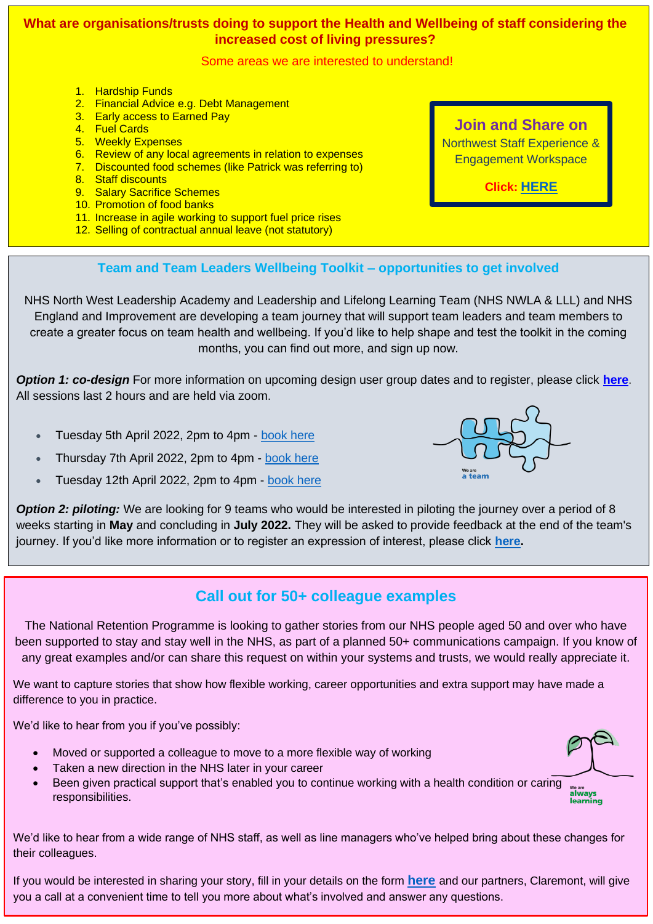#### **What are organisations/trusts doing to support the Health and Wellbeing of staff considering the increased cost of living pressures?**

Some areas we are interested to understand!

- 1. Hardship Funds
- 2. Financial Advice e.g. Debt Management
- 3. Early access to Earned Pay
- 4. Fuel Cards
- 5. Weekly Expenses
- 6. Review of any local agreements in relation to expenses
- 7. Discounted food schemes (like Patrick was referring to)
- 8. Staff discounts
- 9. Salary Sacrifice Schemes
- 10. Promotion of food banks
- 11. Increase in agile working to support fuel price rises
- 12. Selling of contractual annual leave (not statutory)

#### **Join and Share on**

Northwest [Staff Experience &](https://future.nhs.uk/NorthWestStaffExperience/messageshowthread?threadid=8836974) [Engagement Workspace](https://future.nhs.uk/NorthWestStaffExperience/messageshowthread?threadid=8836974)

**Click: [HERE](https://future.nhs.uk/NorthWestStaffExperience/messageshowthread?threadid=8836974)**

<sub>Ne are</sub><br>a team

#### **Team and Team Leaders Wellbeing Toolkit – opportunities to get involved**

NHS North West Leadership Academy and Leadership and Lifelong Learning Team (NHS NWLA & LLL) and NHS England and Improvement are developing a team journey that will support team leaders and team members to create a greater focus on team health and wellbeing. If you'd like to help shape and test the toolkit in the coming months, you can find out more, and sign up now.

*Option 1: co-design* For more information on upcoming design user group dates and to register, please click **[here](https://nwacademy.org.uk/9N2-7RRQW-VJE1XJ-4QDFUO-1/c.aspx)**. All sessions last 2 hours and are held via zoom.

- Tuesday 5th April 2022, 2pm to 4pm [book here](https://www.eventbrite.co.uk/e/health-and-wellbeing-team-and-team-leader-toolkit-registration-262524215997)
- Thursday 7th April 2022, 2pm to 4pm [book here](https://www.eventbrite.co.uk/e/health-and-wellbeing-team-and-team-leader-toolkit-registration-262525208967)
- Tuesday 12th April 2022, 2pm to 4pm [book here](https://www.eventbrite.co.uk/e/health-and-wellbeing-team-and-team-leader-toolkit-registration-264055476037)



# **Call out for 50+ colleague examples**

The National Retention Programme is looking to gather stories from our NHS people aged 50 and over who have been supported to stay and stay well in the NHS, as part of a planned 50+ communications campaign. If you know of any great examples and/or can share this request on within your systems and trusts, we would really appreciate it.

We want to capture stories that show how flexible working, career opportunities and extra support may have made a difference to you in practice.

We'd like to hear from you if you've possibly:

- Moved or supported a colleague to move to a more flexible way of working
- Taken a new direction in the NHS later in your career
- Been given practical support that's enabled you to continue working with a health condition or caring We are<br>**always** responsibilities. ........<br>earning

We'd like to hear from a wide range of NHS staff, as well as line managers who've helped bring about these changes for their colleagues.

If you would be interested in sharing your story, fill in your details on the form **[here](https://docs.google.com/forms/d/e/1FAIpQLSdF3OLnLlUQplvVSiS2PR70vZaeFqdrShoBDr7DOqUWBT-NvQ/viewform)** and our partners, Claremont, will give you a call at a convenient time to tell you more about what's involved and answer any questions.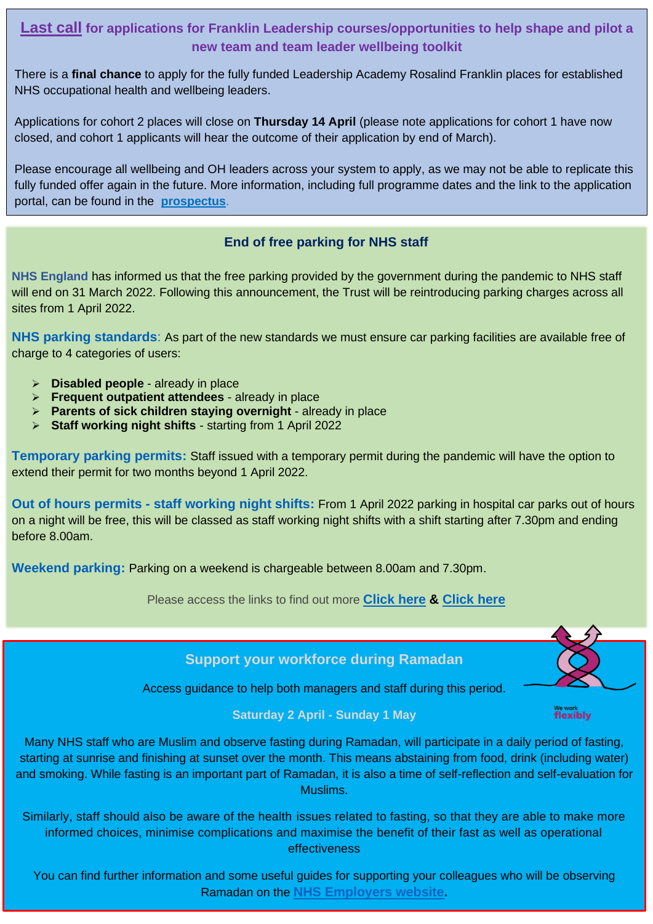### **Last call for applications for Franklin Leadership courses/opportunities to help shape and pilot a new team and team leader wellbeing toolkit**

There is a **final chance** to apply for the fully funded Leadership Academy Rosalind Franklin places for established NHS occupational health and wellbeing leaders.

Applications for cohort 2 places will close on **Thursday 14 April** (please note applications for cohort 1 have now closed, and cohort 1 applicants will hear the outcome of their application by end of March).

Please encourage all wellbeing and OH leaders across your system to apply, as we may not be able to replicate this fully funded offer again in the future. More information, including full programme dates and the link to the application portal, can be found in the **[prospectus](https://www.nhshealthatwork.co.uk/images/library/files/Clinical%20excellence/Growing_OH_funded_leadership_improvement_programmes_prospectus_(Jan_2022_edition).pdf)**.

#### **End of free parking for NHS staff**

**NHS England** has informed us that the free parking provided by the government during the pandemic to NHS staff will end on 31 March 2022. Following this announcement, the Trust will be reintroducing parking charges across all sites from 1 April 2022.

**NHS parking standards**: As part of the new standards we must ensure car parking facilities are available free of charge to 4 categories of users:

- ➢ **Disabled people** already in place
- ➢ **Frequent outpatient attendees** already in place
- ➢ **Parents of sick children staying overnight** already in place
- ➢ **Staff working night shifts** starting from 1 April 2022

**Temporary parking permits:** Staff issued with a temporary permit during the pandemic will have the option to extend their permit for two months beyond 1 April 2022.

**Out of hours permits - staff working night shifts:** From 1 April 2022 parking in hospital car parks out of hours on a night will be free, this will be classed as staff working night shifts with a shift starting after 7.30pm and ending before 8.00am.

**Weekend parking:** Parking on a weekend is chargeable between 8.00am and 7.30pm.

Please access the links to find out more **[Click here](https://www.gov.uk/government/publications/nhs-patient-visitor-and-staff-car-parking-principles) & [Click here](https://www.gov.uk/government/publications/nhs-patient-visitor-and-staff-car-parking-principles/nhs-patient-visitor-and-staff-car-parking-principles)**

**Support your workforce during Ramadan**

Access guidance to help both managers and staff during this period.

flexibly

#### **Saturday 2 April - Sunday 1 May**

Many NHS staff who are Muslim and observe fasting during Ramadan, will participate in a daily period of fasting, starting at sunrise and finishing at sunset over the month. This means abstaining from food, drink (including water) and smoking. While fasting is an important part of Ramadan, it is also a time of self-reflection and self-evaluation for Muslims.

Similarly, staff should also be aware of the health issues related to fasting, so that they are able to make more informed choices, minimise complications and maximise the benefit of their fast as well as operational effectiveness

You can find further information and some useful guides for supporting your colleagues who will be observing Ramadan on the **[NHS Employers website.](https://www.nhsemployers.org/news/access-guidance-support-your-workforce-during-ramadan-2022)**